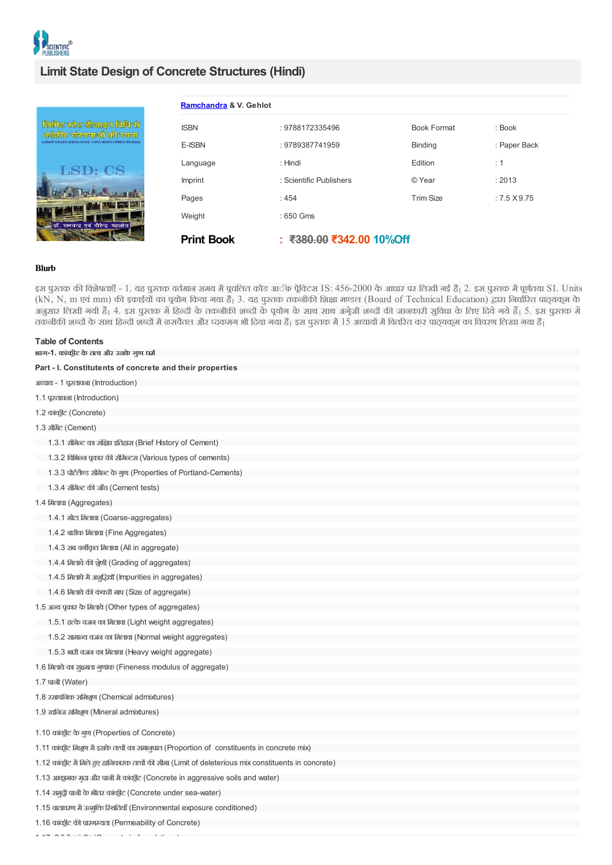

# **Limit State Design of Concrete Structures (Hindi)**

|                                                                                                   | Ramchandra & V. Gehlot |                          |                    |                     |  |
|---------------------------------------------------------------------------------------------------|------------------------|--------------------------|--------------------|---------------------|--|
| लिमिट स्टेट खीजाइन विधि से<br>काँद्रगीट साँस्चनाओँ की स्वना<br>TATE DESIGN OF CONCRETE STRUCTURES | <b>ISBN</b>            | : 9788172335496          | <b>Book Format</b> | : Book              |  |
|                                                                                                   | E-ISBN                 | : 9789387741959          | <b>Binding</b>     | : Paper Back        |  |
| LSD: CS<br>डॉ. रामचन्द्र एवं वीरेन्द्र गहलोत                                                      | Language               | : Hindi                  | Edition            | $\therefore$ 1      |  |
|                                                                                                   | Imprint                | : Scientific Publishers  | © Year             | : 2013              |  |
|                                                                                                   | Pages                  | :454                     | <b>Trim Size</b>   | $: 7.5 \times 9.75$ |  |
|                                                                                                   | Weight                 | : 650 Gms                |                    |                     |  |
|                                                                                                   | <b>Print Book</b>      | : ₹380.00 ₹342.00 10%Off |                    |                     |  |

# **Blurb**

इस पुस्तक की विशेषताएँ - 1. यह पुस्तक वर्तमान समय में पूचलित कोड आॅफ पेुविटस IS: 456-2000 के आधार पर लिखी गई है। 2. इस पुस्तक में पूर्णतया SI. Units (kN, N, m एवं mm) की इकाईयों का पयोग किया गया है। 3. यह पुस्तक तकनीकी शिक्षा मण्डल (Board of Technical Education) द्वारा निर्धारित पाठयकुम के सार है के पहले गया है। 4. इस पुस्तक में हिन्दी के तकनीकी शब्दों के पयोग के साथ साथ अंगेजी शब्दों की जानकारी सुविधा के लिए दिये गये हैं। 5. इस पुस्तक में तकनीकी शब्दों के साथ हिन्दी शब्दों में ळसवेतल और प्दकमग भी दिया गया है। इस पुस्तक में 15 अध्यायों में वितरित कर पाठ्यकम का विवरण लिखा गया है।

| <b>Table of Contents</b>                                                                              |  |
|-------------------------------------------------------------------------------------------------------|--|
| भाग-1. कांक्री़ट के तत्व और उनके गुण धर्म                                                             |  |
| Part - I. Constitutents of concrete and their properties                                              |  |
| अध्याय - 1 पूस्तावना (Introduction)                                                                   |  |
| 1.1 पुस्तावना (Introduction)                                                                          |  |
| 1.2 कांकीूट (Concrete)                                                                                |  |
| 1.3 ਈਮੈਂਟ (Cement)                                                                                    |  |
| 1.3.1 सीमेन्ट का संक्षिप्त इतिहास (Brief History of Cement)                                           |  |
| 1.3.2 विभिन्न पूकार की सीमेन्ट्स (Various types of cements)                                           |  |
| 1.3.3 पोर्टलैण्ड सीमेन्ट के गुण (Properties of Portland-Cements)                                      |  |
| 1.3.4 सीमेन्ट की जाँच (Cement tests)                                                                  |  |
| 1.4 मिलावा (Aggregates)                                                                               |  |
| 1.4.1 मोटा मिलावा (Coarse-aggregates)                                                                 |  |
| 1.4.2 ৰাহীক मিলাবা (Fine Aggregates)                                                                  |  |
| 1.4.3 सब वर्गीकृत मिलावा (All in aggregate)                                                           |  |
| 1.4.4 मिलावे की श्रेणी (Grading of aggregates)                                                        |  |
| 1.4.5 मिलावे में अञ्चुद्धियाँ (Impurities in aggregates)                                              |  |
| 1.4.6 मिलावे की कंकरी माप (Size of aggregate)                                                         |  |
| 1.5 अन्य पूकार के मिलावे (Other types of aggregates)                                                  |  |
| 1.5.1 हत्के वजन का मिलावा (Light weight aggregates)                                                   |  |
| 1.5.2 सामान्य वजन का मिलावा (Normal weight aggregates)                                                |  |
| 1.5.3 भारी वजन का मिलावा (Heavy weight aggregate)                                                     |  |
| 1.6 मिलावे का सुक्षमता गुणांक (Fineness modulus of aggregate)                                         |  |
| 1.7 पाली (Water)                                                                                      |  |
| 1.8 रसायनिक समिशूण (Chemical admixtures)                                                              |  |
| 1.9 खलिज समिशूण (Mineral admixtures)                                                                  |  |
| 1.10 कांकीूट के गुण (Properties of Concrete)                                                          |  |
| 1.11 कांकीूट मिशूण में इसके तत्त्वों का समानुपात (Proportion of constituents in concrete mix)         |  |
| (Limit of deletrious mix constituents in 2011) 1.12 oncrete) 1.12 कांग्रेस (1.12 कांग्रेस in concrete |  |
| 1.13 आक्रूमक मृदा और पाली में कांकूीट (Concrete in aggressive soils and water)                        |  |
| 1.14 समुद्री पाली के भीतर कांकूीट (Concrete under sea-water)                                          |  |
| 1.15 वातावरण में उन्मूक्ति रिश्वतियाँ (Environmental exposure conditioned)                            |  |
| 1.16 कांकीूट की पारगम्यता (Permeability of Concrete)                                                  |  |

 $\mathbf{1}$  ,  $\mathbf{1}$  ,  $\mathbf{1}$  and  $\mathbf{1}$  and  $\mathbf{1}$  and  $\mathbf{1}$  and  $\mathbf{1}$  and  $\mathbf{1}$  and  $\mathbf{1}$  and  $\mathbf{1}$  and  $\mathbf{1}$  and  $\mathbf{1}$  and  $\mathbf{1}$  and  $\mathbf{1}$  and  $\mathbf{1}$  and  $\mathbf{1}$  and  $\mathbf{1}$  and  $\mathbf$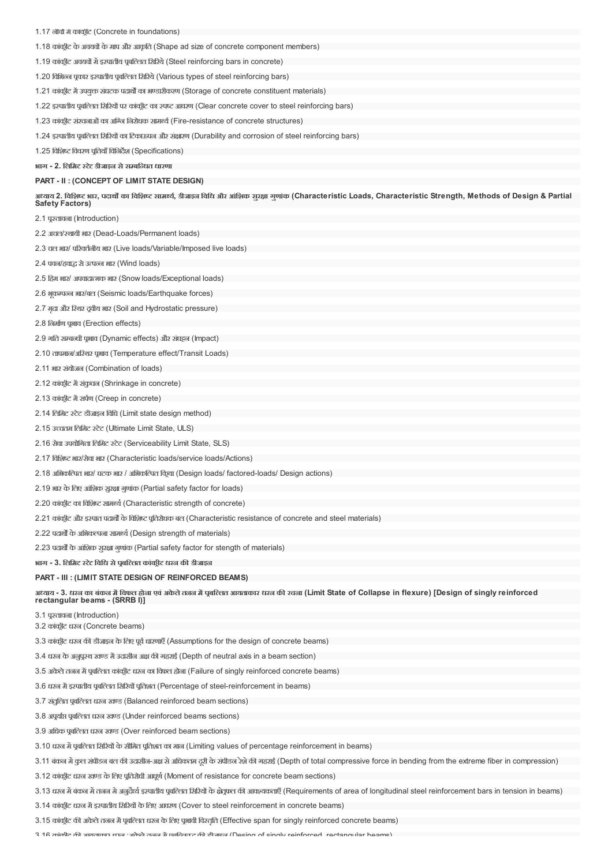| 1.17 नीवों में काकूंटि (Concrete in foundations) |  |  |
|--------------------------------------------------|--|--|
|--------------------------------------------------|--|--|

1.18 कांकीट के अवयवों के माप और आकृति (Shape ad size of concrete component members)

1.19 कांकीट अवयवों में इस्पातीय पूबल्लित सिस्थि (Steel reinforcing bars in concrete)

1.20 विभिन्न पूकार इस्पातीय पूर्बाल्ति सिरिये (Various types of steel reinforcing bars)

1.21 कांकीट में उपयुक्त संघटक पदार्थों का भण्डारीकरण (Storage of concrete constituent materials)

1.22 इस्पातीय पूर्वाल्तित सिरियों पर कांकूीट का स्पष्ट आवरण (Clear concrete cover to steel reinforcing bars)

1.23 कांकीट संरचनाओं का अग्नि निरोधक सामर्थ्य (Fire-resistance of concrete structures)

1.24 इस्पातीय पबल्तित सिरियों का टिकाऊपन और संक्षारण (Durability and corrosion of steel reinforcing bars)

1.25 विशिष्ट विवरण पतियाँ विनिर्देश (Specifications)

**भाग - 2. िलिमट टटे डीजाइन सेसबिधत धारणा**

**PART - II : (CONCEPT OF LIMIT STATE DESIGN)**

अध्याय 2. विशिष्ट भार, पदार्थों का विशिष्ट सामर्थ्य, डीजाइन विधि और आंशिक सुरक्षा गुणांक (Characteristic Loads, Characteristic Strength, Methods of Design & Partial **Safety Factors)**

2.1 पतावना (Introduction)

2.2 अचल/थायी भार (Dead-Loads/Permanent loads)

2.3 चल भार/ परिवर्तलीय भार (Live loads/Variable/Imposed live loads)

2.4 पवन/हवाद्ध से उत्पन्न भार (Wind loads)

2.5 हिम भार/ अपवादात्मक भार (Snow loads/Exceptional loads)

2.6 भूकम्पन्न भार/बल (Seismic loads/Earthquake forces)

2.7 मदृा और िथर दवीय भार (Soil and Hydrostatic pressure)

2.8 िनमाण पभाव (Erection effects)

2.9 गति सम्बन्धी पभाव (Dynamic effects) और संघट्टन (Impact)

2.10 तापमान/अिथर पभाव (Temperature effect/Transit Loads)

2.11 भार संयोजन (Combination of loads)

2.12 कांकीट में संकूचन (Shrinkage in concrete)

2.13 कांकीूट में सर्पण (Creep in concrete)

2.14 िलिमट टेट डीजाइन िविध (Limit state design method)

2.15 उच्चतम लिमिट स्टेट (Ultimate Limit State, ULS)

2.16 सेवा उपयोिगता िलिमट टेट (Serviceability Limit State, SLS)

2.17 विशिष्ट भार/सेवा भार (Characteristic loads/service loads/Actions)

2.18 अिभकिCपत भार/ घटक भार / अिभकिCपत िकया (Design loads/ factored-loads/ Design actions)

2.19 भार के लिए आंशिक सुरक्षा गुणांक (Partial safety factor for loads)

2.20 कांक्रीट का विशिष्ट सामर्थ्य (Characteristic strength of concrete)

2.21 कांकीट और इस्पात पदार्थों के विशिष्ट पूतिरोधक बल (Characteristic resistance of concrete and steel materials)

2.22 पदार्थों के अभिकल्पना सामर्थ्य (Design strength of materials)

2.23 पदार्थों के आंशिक सरक्षा गणांक (Partial safety factor for stength of materials)

**भाग - 3. िलिमट टटे िविध सेपबि,लत कांकीट धरन क- डीजाइन**

# **PART - III : (LIMIT STATE DESIGN OF REINFORCED BEAMS)**

अध्याय - 3. धरन का बंकन में विफल होना एवं अकेले तनन में पुबल्लित आयताकार धरन की रचना (Limit State of Collapse in flexure) [Design of singly reinforced **rectangular beams - (SRRB I)]**

3.1 पतावना (Introduction)

3.2 कांकीट धरन (Concrete beams)

3.3 कांकीूट धरन की डीजाइन के लिए पूर्व धारणाएँ (Assumptions for the design of concrete beams)

3.4 धरन के अनुपूरथ खण्ड में उदासीन अक्ष की गहराई (Depth of neutral axis in a beam section)

3.5 अकेले तनन में पूर्वाल्ति कांकीूट धरन का विफल होना (Failure of singly reinforced concrete beams)

3.6 धरन में इस्पातीय पूर्वाल्तित सिरियों पूतिशत (Percentage of steel-reinforcement in beams)

3.7 संतुलित पूर्बल्लित धरन खण्ड (Balanced reinforced beam sections)

3.8 अपर्याप्त पूर्बाल्लित धरन खण्ड (Under reinforced beams sections)

3.9 अधिक पुर्बाल्तित धरन खण्ड (Over reinforced beam sections)

3.10 धरन में पूर्वाल्लत सिरियों के सीमित पूर्तिशत का मान (Limiting values of percentage reinforcement in beams)

3.11 बंकन में कल संपीडन बल की उदासीन-अक्ष से अधिकतम दरी के संपीडन रेशे की गहराई (Depth of total compressive force in bending from the extreme fiber in compression)

3.12 कांकीट धरन खण्ड के लिए पुतिरोधी आघूर्ण (Moment of resistance for concrete beam sections)

3.13 धरन में बंकन में तनन मे अनुदैर्ध इस्पातीय पुबल्ति सिरियों के क्षेतूफल की आवश्यकताएँ (Requirements of area of longitudinal steel reinforcement bars in tension in beams)

3.14 कांकीट धरन में इस्पातीय सिरियों के लिए आवरण (Cover to steel reinforcement in concrete beams)

3.15 कांकूीट की अकेले तजन में पूर्बाल्तित धरन के लिए पूभावी विस्तृति (Effective span for singly reinforced concrete beams)

3.16 कांकीर की आगताकार धरन ;अकेले तनन में एवलिसत सकी सीनाइन (Desing of singly reinforced rectangular beams)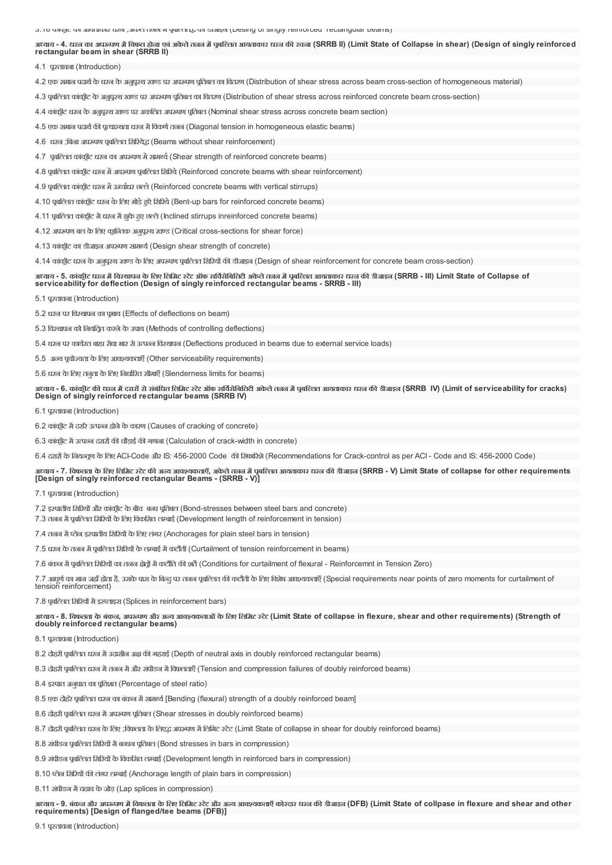3.16 काकं ीट क आयताकार धरन ;अकेलेतनन मपबिCलतBक डीजाइन (Desing of singly reinforced rectangular beams) अध्याय - 4. धरन का अपरूपण में विफल होना एवं अकेले तनन में पबल्लित आयताकार धरन की रचना (SRRB II) (Limit State of Collapse in shear) (Design of singly reinforced **rectangular beam in shear (SRRB II)** 4.1 पतावना (Introduction) 4.2 एक समान पदार्थ के धरन के अनुपूरथ खण्ड पर अपरूपण पूतिबल का वितरण (Distribution of shear stress across beam cross-section of homogeneous material) 4.3 पूबल्लित कांकूटि के अनुपूरथ खण्ड पर अपरूपण पूतिबल का वितरण (Distribution of shear stress across reinforced concrete beam cross-section) 4.4 कांकीट धरन के अनुपुरथ खण्ड पर अकलित अपरूपण पृतिबल (Nominal shear stress across concrete beam section) 4.5 एक समान पदार्थ की प्रत्यास्थता धरन में विकर्ण तनन (Diagonal tension in homogeneous elastic beams) 4.6 धरन ;बिना अपरूपण पूर्वाल्लित सिरियेद्ध (Beams without shear reinforcement) 4.7 पबल्लित कांकीूट धरन का अपरूपण में सामर्थ्य (Shear strength of reinforced concrete beams) 4.8 पूबल्लित कांकीट धरन में अपरूपण पूबल्लित सिरिये (Reinforced concrete beams with shear reinforcement) 4.9 पूर्वाल्लित कांकीट धरन में ऊर्ध्वाधर छल्ले (Reinforced concrete beams with vertical stirrups) 4.10 पूर्वाल्लत कांकूीट धरन के लिए मोड़े हुऐ सिरिये (Bent-up bars for reinforced concrete beams) 4.11 पूबल्लित कांकीूट में धरन में झूके हुए छल्ले (Inclined stirrups inreinforced concrete beams) 4.12 अपखण बल के लिए कान्तिक अनुपुरश खण्ड (Critical cross-sections for shear force) 4.13 कांकीट का डीजाइन अपख्यण सामर्थ्य (Desian shear strength of concrete) 4.14 कांकूीट धरन के अनुपूरथ खण्ड के लिए अपरूपण पूबल्लित सिरियों की डीजाइन (Design of shear reinforcement for concrete beam cross-section) अध्याय - 5. कांकीट धरन में विस्थापन के लिए लिमिट स्टेट ऑफ सर्विसेबिलिटी अकेले तनन में पूबल्लित आयताकार धरन की डीजाइन (SRRB - III) Limit State of Collapse of **serviceability for deflection (Design of singly reinforced rectangular beams - SRRB - III)** 5.1 पतावना (Introduction) 5.2 धरन पर िवथापन का पभाव (Effects of deflections on beam)

5.3 िवथापन को िनयंितत करनेकेउपाय (Methods of controlling deflections)

5.4 धरन पर कार्यरत बाह्य सेवा भार से उत्पन्न विस्थापन (Deflections produced in beams due to external service loads)

5.5 अन्य पयोज्यता के लिए आवश्यकताएँ (Other serviceability requirements)

5.6 धरन के लिए तनुता के लिए निर्धारित सीमाएँ (Slenderness limits for beams)

अध्याय - 6. कांकीूट की धरन में दरारों से संबंधित लिमिट स्टेट ऑफ सर्विसेबिलिटी अकेले तनन में चुबल्लित आयताकार धरन की डीजाइन (SRRB IV) (Limit of serviceability for cracks) **Design of singly reinforced rectangular beams (SRRB IV)**

6.1 पतावना (Introduction)

6.2 कांकीट में दरोरे उत्पन्न होने के कारण (Causes of cracking of concrete)

6.3 कांकीूट में उत्पन्न दरारों की चौड़ाई की गणना (Calculation of crack-width in concrete)

6.4 दरारों के नियन्तण के लिए ACI-Code और IS: 456-2000 Code की सिफारिशे (Recommendations for Crack-control as per ACI - Code and IS: 456-2000 Code)

अध्याय - 7. विफलता के लिए लिमिट स्टेट की अन्य आवश्यकताएँ, अकेले तनन में पुबल्लित आयताकार धरन की डीजाइन (SRRB - V) Limit State of collapse for other requirements **[Design of singly reinforced rectangular Beams - (SRRB - V)]**

7.1 पतावना (Introduction)

7.2 इस्पातीय सिरियों और कांकूीट के बीच बन्ध पूतिबल (Bond-stresses between steel bars and concrete)

7.3 तनन में पुबल्तित सिरियों के लिए विकसित लम्बाई (Development length of reinforcement in tension)

7.4 तनन में प्लेन इस्पातीय सिस्यों के लिए लंगर (Anchorages for plain steel bars in tension)

7.5 धरन के तनन में पबल्तित सिरियों के लम्बाई में कटौती (Curtailment of tension reinforcement in beams)

7.6 बंकन में पूबल्तित सिरियों का तनन क्षेत्रों में कटौति की शर्ते (Conditions for curtailment of flexural - Reinforcemnt in Tension Zero)

7.7 आघूर्ण का मान जहाँ होता है, उसके पास के बिन्दु पर तनन प्रबल्ति का कटौती के लिए विशेष आवश्यकताएँ (Special requirements near points of zero moments for curtailment of tension reinforcement)

7.8 पुबल्लित सिरियों में इस्लाइस (Splices in reinforcement bars)

अध्याय - 8. विफलता के बंकन, अपरूपण और अन्य आवश्यकताओं के लिए लिमिट स्टेट (Limit State of collapse in flexure, shear and other requirements) (Strength of **doubly reinforced rectangular beams)**

8.1 पतावना (Introduction)

8.2 दोहरी पूबल्लित धरन में उदासीन अक्ष की गहराई (Depth of neutral axis in doubly reinforced rectangular beams)

8.3 दोहरी पूर्बाल्तित धरन में तनन में और संपीडन में विफलताएँ (Tension and compression failures of doubly reinforced beams)

8.4 इपात अनुपात का पितशत (Percentage of steel ratio)

8.5 एक दोहरे पूबल्लित धरन का बंकन में सामर्थ्य [Bending (flexural) strength of a doubly reinforced beam]

8.6 दोहरी पूर्वाल्तित धरन में अपरूपण पूर्तिबल (Shear stresses in doubly reinforced beams)

8.7 दोहरी पूर्बल्तित धरन के लिए ;विफलता के लिएद अपख्यण में लिमिट स्टेट (Limit State of collapse in shear for doubly reinforced beams)

8.8 संपीडन पूर्वाल्लत सिरियों में बन्धन पूतिबल (Bond stresses in bars in compression)

8.9 संपीडन पुबल्लित सिरियों के विकसित लम्बाई (Development length in reinforced bars in compression)

8.10 प्लेन सिरियों की लंगर लम्बाई (Anchorage length of plain bars in compression)

8.11 संपीड़न में चढ़ाव के जोड़ (Lap splices in compression)

अध्याय - 9. बंकन और अपरूपण में विफलता के लिए लिमिट स्टेट और अन्य आवश्यकताएँ कोस्टार धरन की डीजाइन (DFB) (Limit State of collpase in flexure and shear and other **requirements) [Design of flanged/tee beams (DFB)]**

9.1 पतावना (Introduction)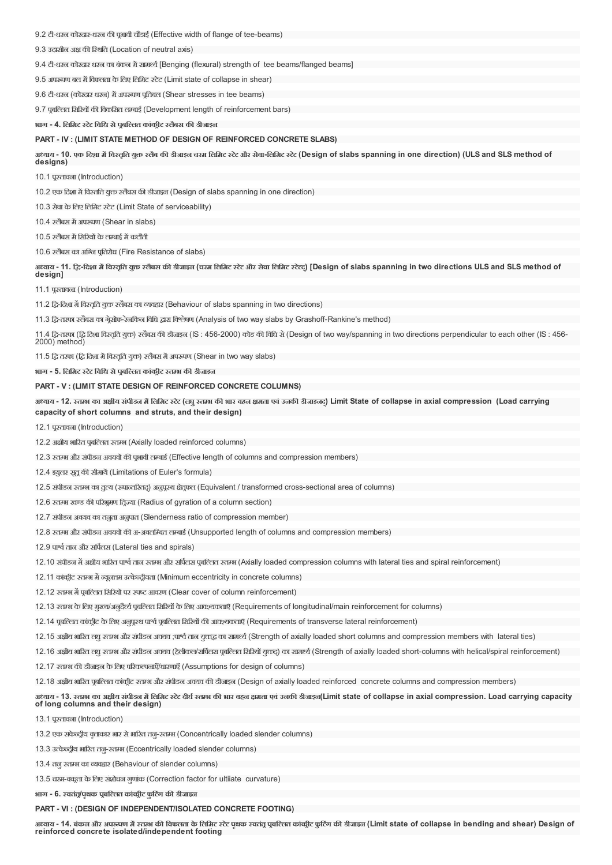9.2 टी-धरन कोरदार-धरन की पृभावी चौडाई (Effective width of flange of tee-beams)

9.3 उदासीन अक्ष की स्थिति (Location of neutral axis)

9.4 टी-धरन कोरदार धरन का बंकन में सामर्थ्य [Benging (flexural) strength of tee beams/flanged beams]

9.5 अपख्यण बल में विफलता के लिए लिमिट स्टेट (Limit state of collapse in shear)

9.6 टी-धरन (कोरदार धरन) में अपरूपण पूतिबल (Shear stresses in tee beams)

9.7 प्रबल्तित सिरियों की विकसित लम्बाई (Development length of reinforcement bars)

**भाग - 4. िलिमट टटे िविध सेपबि,लत कांकीट लबैस क- डीजाइन**

### **PART - IV : (LIMIT STATE METHOD OF DESIGN OF REINFORCED CONCRETE SLABS)**

अध्याय - 10. एक दिशा में विस्तृति युक्त स्लैब की डीजाइल चरम लिमिट स्टेट और सेवा-लिमिट स्टेट (Design of slabs spanning in one direction) (ULS and SLS method of

10.1 पतावना (Introduction)

**designs)**

10.2 एक दिशा में विस्तति युक्त स्लैबस की डीजाइन (Design of slabs spanning in one direction)

10.3 सेवा केिलए िलिमट टेट (Limit State of serviceability)

10.4 स्टोबस में अपरूपण (Shear in slabs)

10.5 स्लैबस में सिरियों के लम्बाई में कटौती

10.6 रतेंबस का अन्ति पतिरोध (Fire Resistance of slabs)

अध्याय - 11. ट्रि-दिशा में विस्तृति युक्त स्लैबस की डीजाइल (चस्म लिम्रिट स्टेट और सेवा लिम्रिट स्टेटट्) [Design of slabs spanning in two directions ULS and SLS method of **design]**

11.1 पतावना (Introduction)

11.2 दि-दिशा में विस्तुति युक्त स्तैबस का व्यवहार (Behaviour of slabs spanning in two directions)

11.3 ट्वि-तरफा स्लैबस का गेूसोफ-रेनकिन विधि द्वारा विश्लेषण (Analysis of two way slabs by Grashoff-Rankine's method)

11.4 ट्वि-तरफा (ट्वि दिशा विस्तृति युक्त) स्तैबस की डीजाइन (IS: 456-2000) कोड की विधि से (Design of two way/spanning in two directions perpendicular to each other (IS: 456-2000) method)

11.5 ट्वि तरफा (ट्वि दिशा में विस्तूति युक्त) स्लैबस में अपरूपण (Shear in two way slabs)

**भाग - 5. िलिमट टटे िविध सेपबि,लत कांकीट तभ क- डीजाइन**

**PART - V : (LIMIT STATE DESIGN OF REINFORCED CONCRETE COLUMNS)**

अध्याय - 12. स्तम्भ का अक्षीय संपीडन में लिमिट स्टेट (लघु स्तम्भ की भार वहन क्षमता एवं उनकी डीजाइनट्) Limit State of collapse in axial compression (Load carrying **capacity of short columns and struts, and their design)**

12.1 पतावना (Introduction)

12.2 अक्षीय भारित पुबल्लित स्तम्भ (Axially loaded reinforced columns)

12.3 स्तम्भ और संपीडन अवयवों की पभावी तम्बाई (Effective length of columns and compression members)

12.4 इयुलर सतूकी सीमायें (Limitations of Euler's formula)

12.5 संपीडन स्तम्भ का तृत्य (स्पान्तरितद्) अनुपूरथ क्षेतूफल (Equivalent / transformed cross-sectional area of columns)

12.6 स्तम्भ खण्ड की परिभ्रमण तिज्या (Radius of gyration of a column section)

12.7 संपीडन अवयव का तनुता अनुपात (Slenderness ratio of compression member)

12.8 रतम्भ और संपीडन अवयवों की अ-अवलम्बित लम्बाई (Unsupported length of columns and compression members)

12.9 पार्श्व ताल और सर्पिलस (Lateral ties and spirals)

12.10 संपीडन में अक्षीय भारित पार्श्व तान स्तम्भ और सर्पितस पुबल्तित स्तम्भ (Axially loaded compression columns with lateral ties and spiral reinforcement)

12.11 कांकीट स्तम्भ में न्यूनतम उत्केन्द्रीयता (Minimum eccentricity in concrete columns)

12.12 स्तम्भ में पूर्वाल्ति सिरियों पर स्पष्ट आवरण (Clear cover of column reinforcement)

12.13 स्तम्भ के लिए मुख्य/अनुदैर्घ्य पुबल्लित सिरियों के लिए आवश्यकताएँ (Requirements of longitudinal/main reinforcement for columns)

12.14 पूर्वाल्ति कांकूट के लिए अनुपूरथ पार्श्व पूर्वाल्ति सिरियों की आवश्यकताएँ (Requirements of transverse lateral reinforcement)

12.15 अक्षीय भारित तद्य स्तम्भ और संपीडन अवयव ;पार्श्व तान यकद्ध का सामर्थ (Strength of axially loaded short columns and compression members with lateral ties)

12.16 अक्षीय भारित तब्रू स्तम्भ और संपीडन अवयव (हेलीकल/सर्वित्स पूबलित सिरियों युक्त) का सामर्थ (Strength of axially loaded short-columns with helical/spiral reinforcement)

12.17 स्तम्भ की डीजाइन के लिए परिकल्पनाएँ/धारणाएँ (Assumptions for design of columns)

12.18 अक्षीय भारित पुबल्ति कांकीट रतम्भ और संपीडन अवयव की डीजाइन (Design of axially loaded reinforced concrete columns and compression members)

अध्याय - 13. स्तम्भ का अक्षीय संपीडल में लिमिट स्टेट दीर्घ स्तम की भार वहन क्षमता एवं उनकी डीजाइल(Limit state of collapse in axial compression. Load carrying capacity **of long columns and their design)**

13.1 पतावना (Introduction)

13.2 एक सकेन्द्रीय वृत्ताकार भार से भारित तनु-स्तम्भ (Concentrically loaded slender columns)

13.3 उत्केव्दीय भारित तन-स्तम्भ (Eccentrically loaded slender columns)

13.4 तनु स्तम्भ का व्यवहार (Behaviour of slender columns)

13.5 चरम-वकता केिलए संशोधन गुणाकं (Correction factor for ultiiate curvature)

**भाग - 6. वततं /पथृ क पबि,लत कांकीट फुिटगं क- डीजाइन**

#### **PART - VI : (DESIGN OF INDEPENDENT/ISOLATED CONCRETE FOOTING)**

अध्याय - 14. बंकन और अपरूपण में स्तम्भ की विफलता के लिमिट स्टेट पृथक स्वतंतू पूबल्लित कांकीट फूटिंग की डीजाइन (Limit state of collapse in bending and shear) Design of **reinforced concrete isolated/independent footing**